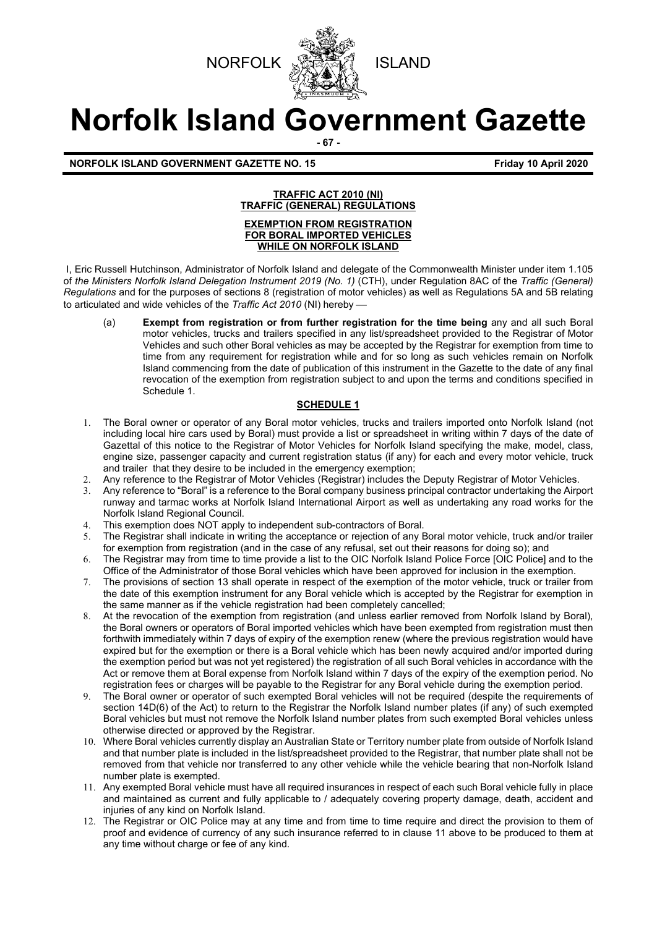



# **Norfolk Island Government Gazette**

**- 67 -**

**NORFOLK ISLAND GOVERNMENT GAZETTE NO. 15 Friday 10 April 2020**

# **TRAFFIC ACT 2010 (NI) TRAFFIC (GENERAL) REGULATIONS**

#### **EXEMPTION FROM REGISTRATION FOR BORAL IMPORTED VEHICLES WHILE ON NORFOLK ISLAND**

I, Eric Russell Hutchinson, Administrator of Norfolk Island and delegate of the Commonwealth Minister under item 1.105 of *the Ministers Norfolk Island Delegation Instrument 2019 (No. 1)* (CTH), under Regulation 8AC of the *Traffic (General) Regulations* and for the purposes of sections 8 (registration of motor vehicles) as well as Regulations 5A and 5B relating to articulated and wide vehicles of the *Traffic Act 2010* (NI) hereby

(a) **Exempt from registration or from further registration for the time being** any and all such Boral motor vehicles, trucks and trailers specified in any list/spreadsheet provided to the Registrar of Motor Vehicles and such other Boral vehicles as may be accepted by the Registrar for exemption from time to time from any requirement for registration while and for so long as such vehicles remain on Norfolk Island commencing from the date of publication of this instrument in the Gazette to the date of any final revocation of the exemption from registration subject to and upon the terms and conditions specified in Schedule 1.

# **SCHEDULE 1**

- 1. The Boral owner or operator of any Boral motor vehicles, trucks and trailers imported onto Norfolk Island (not including local hire cars used by Boral) must provide a list or spreadsheet in writing within 7 days of the date of Gazettal of this notice to the Registrar of Motor Vehicles for Norfolk Island specifying the make, model, class, engine size, passenger capacity and current registration status (if any) for each and every motor vehicle, truck and trailer that they desire to be included in the emergency exemption;
- 2. Any reference to the Registrar of Motor Vehicles (Registrar) includes the Deputy Registrar of Motor Vehicles.
- 3. Any reference to "Boral" is a reference to the Boral company business principal contractor undertaking the Airport runway and tarmac works at Norfolk Island International Airport as well as undertaking any road works for the Norfolk Island Regional Council.
- 4. This exemption does NOT apply to independent sub-contractors of Boral.
- 5. The Registrar shall indicate in writing the acceptance or rejection of any Boral motor vehicle, truck and/or trailer for exemption from registration (and in the case of any refusal, set out their reasons for doing so); and
- 6. The Registrar may from time to time provide a list to the OIC Norfolk Island Police Force [OIC Police] and to the Office of the Administrator of those Boral vehicles which have been approved for inclusion in the exemption.
- 7. The provisions of section 13 shall operate in respect of the exemption of the motor vehicle, truck or trailer from the date of this exemption instrument for any Boral vehicle which is accepted by the Registrar for exemption in the same manner as if the vehicle registration had been completely cancelled;
- 8. At the revocation of the exemption from registration (and unless earlier removed from Norfolk Island by Boral), the Boral owners or operators of Boral imported vehicles which have been exempted from registration must then forthwith immediately within 7 days of expiry of the exemption renew (where the previous registration would have expired but for the exemption or there is a Boral vehicle which has been newly acquired and/or imported during the exemption period but was not yet registered) the registration of all such Boral vehicles in accordance with the Act or remove them at Boral expense from Norfolk Island within 7 days of the expiry of the exemption period. No registration fees or charges will be payable to the Registrar for any Boral vehicle during the exemption period.
- 9. The Boral owner or operator of such exempted Boral vehicles will not be required (despite the requirements of section 14D(6) of the Act) to return to the Registrar the Norfolk Island number plates (if any) of such exempted Boral vehicles but must not remove the Norfolk Island number plates from such exempted Boral vehicles unless otherwise directed or approved by the Registrar.
- 10. Where Boral vehicles currently display an Australian State or Territory number plate from outside of Norfolk Island and that number plate is included in the list/spreadsheet provided to the Registrar, that number plate shall not be removed from that vehicle nor transferred to any other vehicle while the vehicle bearing that non-Norfolk Island number plate is exempted.
- 11. Any exempted Boral vehicle must have all required insurances in respect of each such Boral vehicle fully in place and maintained as current and fully applicable to / adequately covering property damage, death, accident and injuries of any kind on Norfolk Island.
- 12. The Registrar or OIC Police may at any time and from time to time require and direct the provision to them of proof and evidence of currency of any such insurance referred to in clause 11 above to be produced to them at any time without charge or fee of any kind.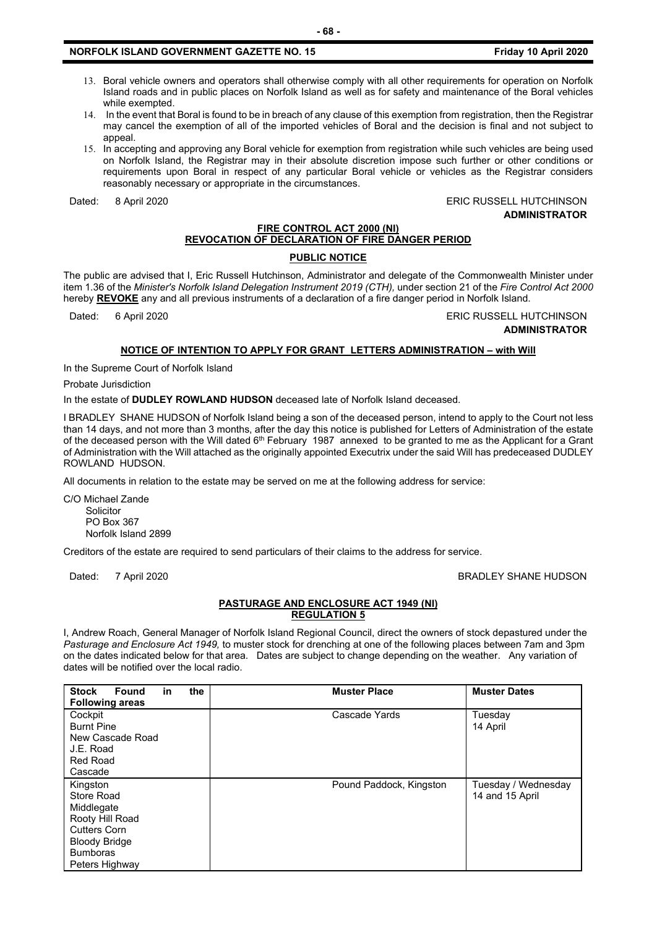- 13. Boral vehicle owners and operators shall otherwise comply with all other requirements for operation on Norfolk Island roads and in public places on Norfolk Island as well as for safety and maintenance of the Boral vehicles while exempted.
- 14. In the event that Boral is found to be in breach of any clause of this exemption from registration, then the Registrar may cancel the exemption of all of the imported vehicles of Boral and the decision is final and not subject to appeal.
- 15. In accepting and approving any Boral vehicle for exemption from registration while such vehicles are being used on Norfolk Island, the Registrar may in their absolute discretion impose such further or other conditions or requirements upon Boral in respect of any particular Boral vehicle or vehicles as the Registrar considers reasonably necessary or appropriate in the circumstances.

Dated: 8 April 2020 **ERIC RUSSELL HUTCHINSON ADMINISTRATOR**

#### **FIRE CONTROL ACT 2000 (NI) REVOCATION OF DECLARATION OF FIRE DANGER PERIOD**

#### **PUBLIC NOTICE**

The public are advised that I, Eric Russell Hutchinson, Administrator and delegate of the Commonwealth Minister under item 1.36 of the *Minister's Norfolk Island Delegation Instrument 2019 (CTH),* under section 21 of the *Fire Control Act 2000* hereby **REVOKE** any and all previous instruments of a declaration of a fire danger period in Norfolk Island.

Dated: 6 April 2020 **ERIC RUSSELL HUTCHINSON ADMINISTRATOR**

#### **NOTICE OF INTENTION TO APPLY FOR GRANT LETTERS ADMINISTRATION – with Will**

In the Supreme Court of Norfolk Island

Probate Jurisdiction

In the estate of **DUDLEY ROWLAND HUDSON** deceased late of Norfolk Island deceased.

I BRADLEY SHANE HUDSON of Norfolk Island being a son of the deceased person, intend to apply to the Court not less than 14 days, and not more than 3 months, after the day this notice is published for Letters of Administration of the estate of the deceased person with the Will dated 6<sup>th</sup> February 1987 annexed to be granted to me as the Applicant for a Grant of Administration with the Will attached as the originally appointed Executrix under the said Will has predeceased DUDLEY ROWLAND HUDSON.

All documents in relation to the estate may be served on me at the following address for service:

C/O Michael Zande **Solicitor**  PO Box 367 Norfolk Island 2899

Creditors of the estate are required to send particulars of their claims to the address for service.

Dated: 7 April 2020 **BRADLEY SHANE HUDSON** 

## **PASTURAGE AND ENCLOSURE ACT 1949 (NI) REGULATION 5**

I, Andrew Roach, General Manager of Norfolk Island Regional Council, direct the owners of stock depastured under the *Pasturage and Enclosure Act 1949,* to muster stock for drenching at one of the following places between 7am and 3pm on the dates indicated below for that area. Dates are subject to change depending on the weather. Any variation of dates will be notified over the local radio.

| <b>Stock</b><br>the<br>Found<br>in | <b>Muster Place</b>     | <b>Muster Dates</b> |
|------------------------------------|-------------------------|---------------------|
| <b>Following areas</b>             |                         |                     |
| Cockpit                            | Cascade Yards           | Tuesday             |
| <b>Burnt Pine</b>                  |                         | 14 April            |
| New Cascade Road                   |                         |                     |
| J.E. Road                          |                         |                     |
| Red Road                           |                         |                     |
| Cascade                            |                         |                     |
| Kingston                           | Pound Paddock, Kingston | Tuesday / Wednesday |
| Store Road                         |                         | 14 and 15 April     |
| Middlegate                         |                         |                     |
| Rooty Hill Road                    |                         |                     |
| Cutters Corn                       |                         |                     |
| <b>Bloody Bridge</b>               |                         |                     |
| <b>Bumboras</b>                    |                         |                     |
| Peters Highway                     |                         |                     |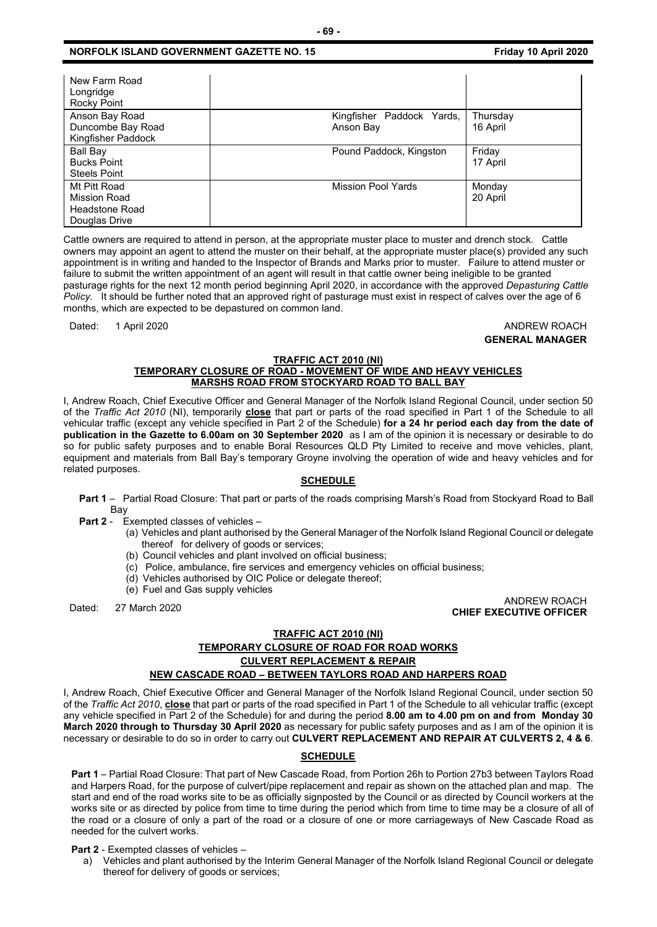#### **NORFOLK ISLAND GOVERNMENT GAZETTE NO. 15 Friday 10 April 2020**

| New Farm Road<br>Longridge<br>Rocky Point                                     |                                        |                      |
|-------------------------------------------------------------------------------|----------------------------------------|----------------------|
| Anson Bay Road<br>Duncombe Bay Road<br>Kingfisher Paddock                     | Kingfisher Paddock Yards,<br>Anson Bay | Thursday<br>16 April |
| <b>Ball Bay</b><br><b>Bucks Point</b><br><b>Steels Point</b>                  | Pound Paddock, Kingston                | Friday<br>17 April   |
| Mt Pitt Road<br><b>Mission Road</b><br><b>Headstone Road</b><br>Douglas Drive | <b>Mission Pool Yards</b>              | Monday<br>20 April   |

Cattle owners are required to attend in person, at the appropriate muster place to muster and drench stock. Cattle owners may appoint an agent to attend the muster on their behalf, at the appropriate muster place(s) provided any such appointment is in writing and handed to the Inspector of Brands and Marks prior to muster. Failure to attend muster or failure to submit the written appointment of an agent will result in that cattle owner being ineligible to be granted pasturage rights for the next 12 month period beginning April 2020, in accordance with the approved *Depasturing Cattle Policy.* It should be further noted that an approved right of pasturage must exist in respect of calves over the age of 6 months, which are expected to be depastured on common land.

Dated: 1 April 2020 ANDREW ROACH **GENERAL MANAGER**

#### **TRAFFIC ACT 2010 (NI)**

## **TEMPORARY CLOSURE OF ROAD - MOVEMENT OF WIDE AND HEAVY VEHICLES MARSHS ROAD FROM STOCKYARD ROAD TO BALL BAY**

I, Andrew Roach, Chief Executive Officer and General Manager of the Norfolk Island Regional Council, under section 50 of the *Traffic Act 2010* (NI), temporarily **close** that part or parts of the road specified in Part 1 of the Schedule to all vehicular traffic (except any vehicle specified in Part 2 of the Schedule) **for a 24 hr period each day from the date of publication in the Gazette to 6.00am on 30 September 2020** as I am of the opinion it is necessary or desirable to do so for public safety purposes and to enable Boral Resources QLD Pty Limited to receive and move vehicles, plant, equipment and materials from Ball Bay's temporary Groyne involving the operation of wide and heavy vehicles and for related purposes.

#### **SCHEDULE**

**Part 1** – Partial Road Closure: That part or parts of the roads comprising Marsh's Road from Stockyard Road to Ball Bay

- **Part 2** Exempted classes of vehicles
	- (a) Vehicles and plant authorised by the General Manager of the Norfolk Island Regional Council or delegate thereof for delivery of goods or services;
	- (b) Council vehicles and plant involved on official business;
	- (c) Police, ambulance, fire services and emergency vehicles on official business;
	- (d) Vehicles authorised by OIC Police or delegate thereof;
	- (e) Fuel and Gas supply vehicles

Dated: 27 March 2020 ANDREW ROACH **CHIEF EXECUTIVE OFFICER**

# **TRAFFIC ACT 2010 (NI) TEMPORARY CLOSURE OF ROAD FOR ROAD WORKS CULVERT REPLACEMENT & REPAIR**

# **NEW CASCADE ROAD – BETWEEN TAYLORS ROAD AND HARPERS ROAD**

I, Andrew Roach, Chief Executive Officer and General Manager of the Norfolk Island Regional Council, under section 50 of the *Traffic Act 2010*, **close** that part or parts of the road specified in Part 1 of the Schedule to all vehicular traffic (except any vehicle specified in Part 2 of the Schedule) for and during the period **8.00 am to 4.00 pm on and from Monday 30 March 2020 through to Thursday 30 April 2020** as necessary for public safety purposes and as I am of the opinion it is necessary or desirable to do so in order to carry out **CULVERT REPLACEMENT AND REPAIR AT CULVERTS 2, 4 & 6**.

## **SCHEDULE**

**Part 1** – Partial Road Closure: That part of New Cascade Road, from Portion 26h to Portion 27b3 between Taylors Road and Harpers Road, for the purpose of culvert/pipe replacement and repair as shown on the attached plan and map. The start and end of the road works site to be as officially signposted by the Council or as directed by Council workers at the works site or as directed by police from time to time during the period which from time to time may be a closure of all of the road or a closure of only a part of the road or a closure of one or more carriageways of New Cascade Road as needed for the culvert works.

**Part 2** - Exempted classes of vehicles –

a) Vehicles and plant authorised by the Interim General Manager of the Norfolk Island Regional Council or delegate thereof for delivery of goods or services;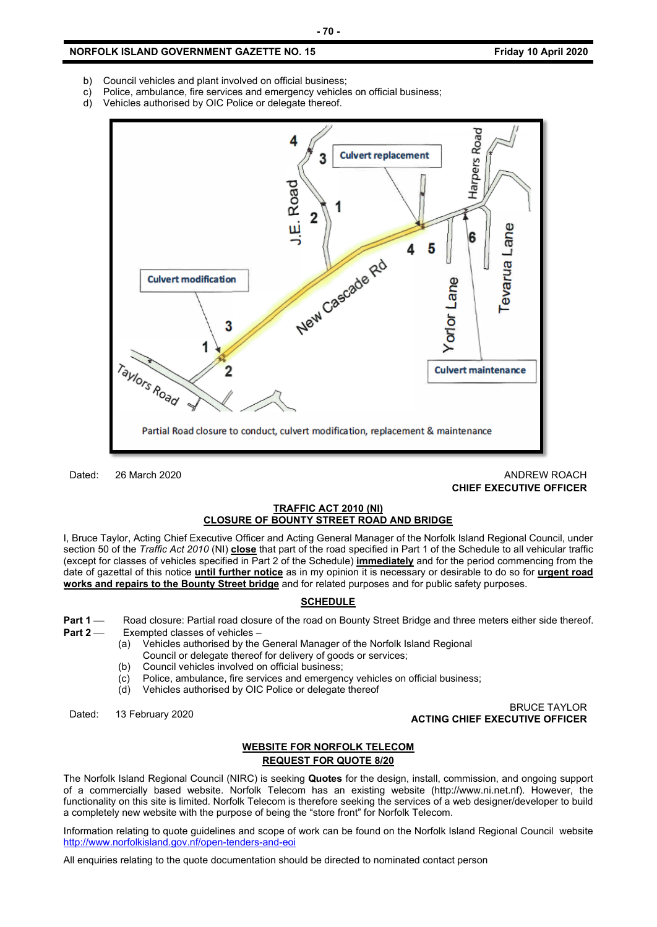#### **NORFOLK ISLAND GOVERNMENT GAZETTE NO. 15 Friday 10 April 2020**

- b) Council vehicles and plant involved on official business;
- c) Police, ambulance, fire services and emergency vehicles on official business;
- d) Vehicles authorised by OIC Police or delegate thereof.



Dated: 26 March 2020 **ANDREW ROACH CHIEF EXECUTIVE OFFICER**

#### **TRAFFIC ACT 2010 (NI) CLOSURE OF BOUNTY STREET ROAD AND BRIDGE**

I, Bruce Taylor, Acting Chief Executive Officer and Acting General Manager of the Norfolk Island Regional Council, under section 50 of the *Traffic Act 2010* (NI) **close** that part of the road specified in Part 1 of the Schedule to all vehicular traffic (except for classes of vehicles specified in Part 2 of the Schedule) **immediately** and for the period commencing from the date of gazettal of this notice **until further notice** as in my opinion it is necessary or desirable to do so for **urgent road works and repairs to the Bounty Street bridge** and for related purposes and for public safety purposes.

## **SCHEDULE**

- **Part 1** Road closure: Partial road closure of the road on Bounty Street Bridge and three meters either side thereof.
- **Part 2** Exempted classes of vehicles -
	- (a) Vehicles authorised by the General Manager of the Norfolk Island Regional
	- Council or delegate thereof for delivery of goods or services;
	- (b) Council vehicles involved on official business;
	- (c) Police, ambulance, fire services and emergency vehicles on official business;
	- (d) Vehicles authorised by OIC Police or delegate thereof

Dated: 13 February 2020 BRUCE TAYLOR **ACTING CHIEF EXECUTIVE OFFICER**

#### **WEBSITE FOR NORFOLK TELECOM REQUEST FOR QUOTE 8/20**

The Norfolk Island Regional Council (NIRC) is seeking **Quotes** for the design, install, commission, and ongoing support of a commercially based website. Norfolk Telecom has an existing website (http://www.ni.net.nf). However, the functionality on this site is limited. Norfolk Telecom is therefore seeking the services of a web designer/developer to build a completely new website with the purpose of being the "store front" for Norfolk Telecom.

Information relating to quote guidelines and scope of work can be found on the Norfolk Island Regional Council website <http://www.norfolkisland.gov.nf/open-tenders-and-eoi>

All enquiries relating to the quote documentation should be directed to nominated contact person